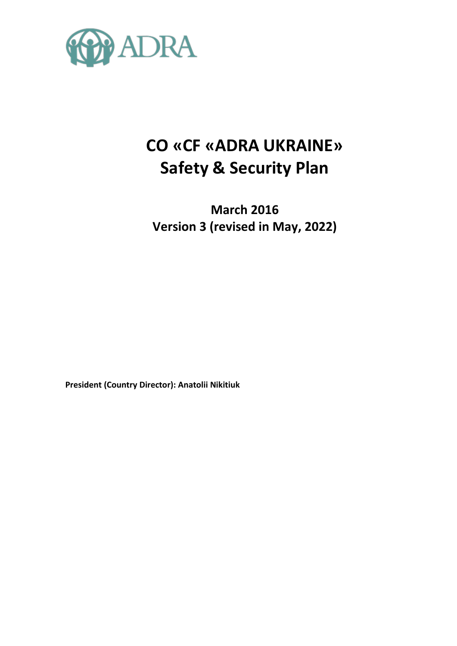

# **CO «CF «ADRA UKRAINE» Safety & Security Plan**

**March 2016 Version 3 (revised in May, 2022)** 

**President (Country Director): Anatolii Nikitiuk**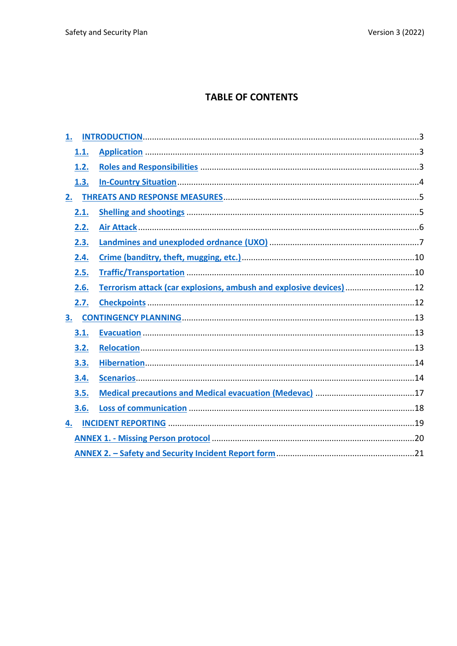# **TABLE OF CONTENTS**

| 1. |      |                                                                     |  |  |  |
|----|------|---------------------------------------------------------------------|--|--|--|
|    | 1.1. |                                                                     |  |  |  |
|    | 1.2. |                                                                     |  |  |  |
|    | 1.3. |                                                                     |  |  |  |
| 2. |      |                                                                     |  |  |  |
|    | 2.1. |                                                                     |  |  |  |
|    | 2.2. |                                                                     |  |  |  |
|    | 2.3. |                                                                     |  |  |  |
|    | 2.4. |                                                                     |  |  |  |
|    | 2.5. |                                                                     |  |  |  |
|    | 2.6. | Terrorism attack (car explosions, ambush and explosive devices)  12 |  |  |  |
|    | 2.7. |                                                                     |  |  |  |
| 3. |      |                                                                     |  |  |  |
|    | 3.1. |                                                                     |  |  |  |
|    | 3.2. |                                                                     |  |  |  |
|    | 3.3. |                                                                     |  |  |  |
|    | 3.4. |                                                                     |  |  |  |
|    | 3.5. |                                                                     |  |  |  |
|    | 3.6. |                                                                     |  |  |  |
| 4. |      |                                                                     |  |  |  |
|    |      |                                                                     |  |  |  |
|    |      |                                                                     |  |  |  |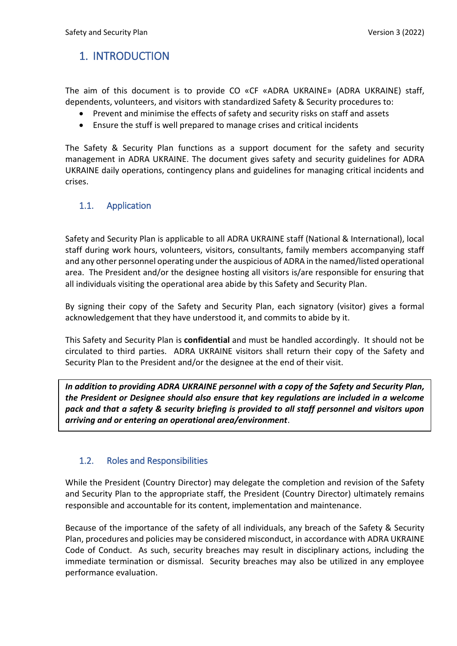# <span id="page-2-0"></span>1. INTRODUCTION

The aim of this document is to provide CO «CF «ADRA UKRAINE» (ADRA UKRAINE) staff, dependents, volunteers, and visitors with standardized Safety & Security procedures to:

- Prevent and minimise the effects of safety and security risks on staff and assets
- Ensure the stuff is well prepared to manage crises and critical incidents

The Safety & Security Plan functions as a support document for the safety and security management in ADRA UKRAINE. The document gives safety and security guidelines for ADRA UKRAINE daily operations, contingency plans and guidelines for managing critical incidents and crises.

# <span id="page-2-1"></span>1.1. Application

Safety and Security Plan is applicable to all ADRA UKRAINE staff (National & International), local staff during work hours, volunteers, visitors, consultants, family members accompanying staff and any other personnel operating under the auspicious of ADRA in the named/listed operational area. The President and/or the designee hosting all visitors is/are responsible for ensuring that all individuals visiting the operational area abide by this Safety and Security Plan.

By signing their copy of the Safety and Security Plan, each signatory (visitor) gives a formal acknowledgement that they have understood it, and commits to abide by it.

This Safety and Security Plan is **confidential** and must be handled accordingly. It should not be circulated to third parties. ADRA UKRAINE visitors shall return their copy of the Safety and Security Plan to the President and/or the designee at the end of their visit.

*In addition to providing ADRA UKRAINE personnel with a copy of the Safety and Security Plan, the President or Designee should also ensure that key regulations are included in a welcome pack and that a safety & security briefing is provided to all staff personnel and visitors upon arriving and or entering an operational area/environment*.

# <span id="page-2-2"></span>1.2. Roles and Responsibilities

While the President (Country Director) may delegate the completion and revision of the Safety and Security Plan to the appropriate staff, the President (Country Director) ultimately remains responsible and accountable for its content, implementation and maintenance.

Because of the importance of the safety of all individuals, any breach of the Safety & Security Plan, procedures and policies may be considered misconduct, in accordance with ADRA UKRAINE Code of Conduct. As such, security breaches may result in disciplinary actions, including the immediate termination or dismissal. Security breaches may also be utilized in any employee performance evaluation.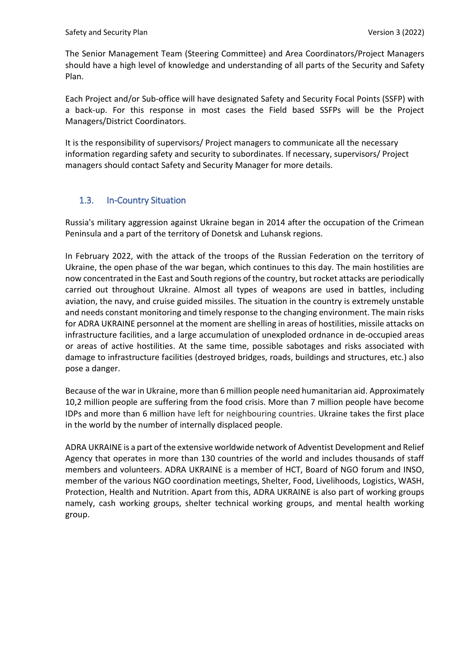The Senior Management Team (Steering Committee) and Area Coordinators/Project Managers should have a high level of knowledge and understanding of all parts of the Security and Safety Plan.

Each Project and/or Sub-office will have designated Safety and Security Focal Points (SSFP) with a back-up. For this response in most cases the Field based SSFPs will be the Project Managers/District Coordinators.

It is the responsibility of supervisors/ Project managers to communicate all the necessary information regarding safety and security to subordinates. If necessary, supervisors/ Project managers should contact Safety and Security Manager for more details.

# <span id="page-3-0"></span>1.3. In-Country Situation

Russia's military aggression against Ukraine began in 2014 after the occupation of the Crimean Peninsula and a part of the territory of Donetsk and Luhansk regions.

In February 2022, with the attack of the troops of the Russian Federation on the territory of Ukraine, the open phase of the war began, which continues to this day. The main hostilities are now concentrated in the East and South regions of the country, but rocket attacks are periodically carried out throughout Ukraine. Almost all types of weapons are used in battles, including aviation, the navy, and cruise guided missiles. The situation in the country is extremely unstable and needs constant monitoring and timely response to the changing environment. The main risks for ADRA UKRAINE personnel at the moment are shelling in areas of hostilities, missile attacks on infrastructure facilities, and a large accumulation of unexploded ordnance in de-occupied areas or areas of active hostilities. At the same time, possible sabotages and risks associated with damage to infrastructure facilities (destroyed bridges, roads, buildings and structures, etc.) also pose a danger.

Because of the war in Ukraine, more than 6 million people need humanitarian aid. Approximately 10,2 million people are suffering from the food crisis. More than 7 million people have become IDPs and more than 6 million have left for neighbouring countries. Ukraine takes the first place in the world by the number of internally displaced people.

ADRA UKRAINE is a part of the extensive worldwide network of Adventist Development and Relief Agency that operates in more than 130 countries of the world and includes thousands of staff members and volunteers. ADRA UKRAINE is a member of HCT, Board of NGO forum and INSO, member of the various NGO coordination meetings, Shelter, Food, Livelihoods, Logistics, WASH, Protection, Health and Nutrition. Apart from this, ADRA UKRAINE is also part of working groups namely, cash working groups, shelter technical working groups, and mental health working group.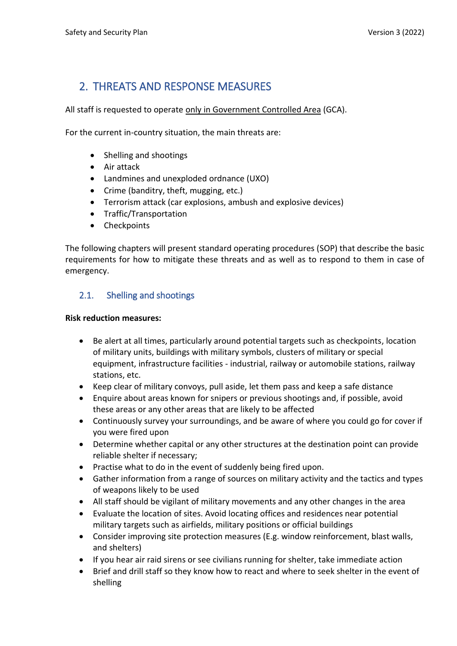# <span id="page-4-0"></span>2. THREATS AND RESPONSE MEASURES

All staff is requested to operate only in Government Controlled Area (GCA).

For the current in-country situation, the main threats are:

- Shelling and shootings
- Air attack
- Landmines and unexploded ordnance (UXO)
- Crime (banditry, theft, mugging, etc.)
- Terrorism attack (car explosions, ambush and explosive devices)
- Traffic/Transportation
- Checkpoints

The following chapters will present standard operating procedures (SOP) that describe the basic requirements for how to mitigate these threats and as well as to respond to them in case of emergency.

# <span id="page-4-1"></span>2.1. Shelling and shootings

#### **Risk reduction measures:**

- Be alert at all times, particularly around potential targets such as checkpoints, location of military units, buildings with military symbols, clusters of military or special equipment, infrastructure facilities - industrial, railway or automobile stations, railway stations, etc.
- Keep clear of military convoys, pull aside, let them pass and keep a safe distance
- Enquire about areas known for snipers or previous shootings and, if possible, avoid these areas or any other areas that are likely to be affected
- Continuously survey your surroundings, and be aware of where you could go for cover if you were fired upon
- Determine whether capital or any other structures at the destination point can provide reliable shelter if necessary;
- Practise what to do in the event of suddenly being fired upon.
- Gather information from a range of sources on military activity and the tactics and types of weapons likely to be used
- All staff should be vigilant of military movements and any other changes in the area
- Evaluate the location of sites. Avoid locating offices and residences near potential military targets such as airfields, military positions or official buildings
- Consider improving site protection measures (E.g. window reinforcement, blast walls, and shelters)
- If you hear air raid sirens or see civilians running for shelter, take immediate action
- Brief and drill staff so they know how to react and where to seek shelter in the event of shelling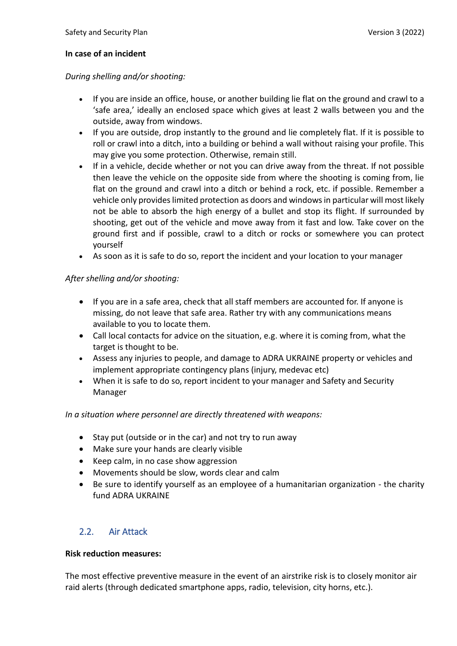#### **In case of an incident**

#### *During shelling and/or shooting:*

- If you are inside an office, house, or another building lie flat on the ground and crawl to a 'safe area,' ideally an enclosed space which gives at least 2 walls between you and the outside, away from windows.
- If you are outside, drop instantly to the ground and lie completely flat. If it is possible to roll or crawl into a ditch, into a building or behind a wall without raising your profile. This may give you some protection. Otherwise, remain still.
- If in a vehicle, decide whether or not you can drive away from the threat. If not possible then leave the vehicle on the opposite side from where the shooting is coming from, lie flat on the ground and crawl into a ditch or behind a rock, etc. if possible. Remember a vehicle only provides limited protection as doors and windows in particular will most likely not be able to absorb the high energy of a bullet and stop its flight. If surrounded by shooting, get out of the vehicle and move away from it fast and low. Take cover on the ground first and if possible, crawl to a ditch or rocks or somewhere you can protect yourself
- As soon as it is safe to do so, report the incident and your location to your manager

#### *After shelling and/or shooting:*

- If you are in a safe area, check that all staff members are accounted for. If anyone is missing, do not leave that safe area. Rather try with any communications means available to you to locate them.
- Call local contacts for advice on the situation, e.g. where it is coming from, what the target is thought to be.
- Assess any injuries to people, and damage to ADRA UKRAINE property or vehicles and implement appropriate contingency plans (injury, medevac etc)
- When it is safe to do so, report incident to your manager and Safety and Security Manager

#### *In a situation where personnel are directly threatened with weapons:*

- Stay put (outside or in the car) and not try to run away
- Make sure your hands are clearly visible
- Keep calm, in no case show aggression
- Movements should be slow, words clear and calm
- Be sure to identify yourself as an employee of a humanitarian organization the charity fund ADRA UKRAINE

# <span id="page-5-0"></span>2.2. Air Attack

#### **Risk reduction measures:**

The most effective preventive measure in the event of an airstrike risk is to closely monitor air raid alerts (through dedicated smartphone apps, radio, television, city horns, etc.).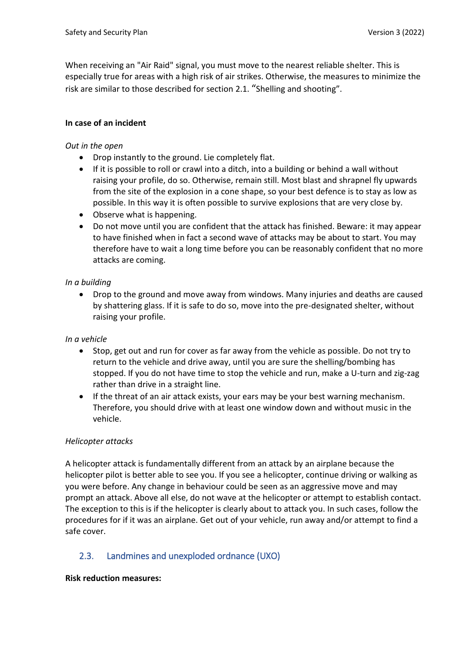When receiving an "Air Raid" signal, you must move to the nearest reliable shelter. This is especially true for areas with a high risk of air strikes. Otherwise, the measures to minimize the risk are similar to those described for section 2.1. "Shelling and shooting".

#### **In case of an incident**

#### *Out in the open*

- Drop instantly to the ground. Lie completely flat.
- If it is possible to roll or crawl into a ditch, into a building or behind a wall without raising your profile, do so. Otherwise, remain still. Most blast and shrapnel fly upwards from the site of the explosion in a cone shape, so your best defence is to stay as low as possible. In this way it is often possible to survive explosions that are very close by.
- Observe what is happening.
- Do not move until you are confident that the attack has finished. Beware: it may appear to have finished when in fact a second wave of attacks may be about to start. You may therefore have to wait a long time before you can be reasonably confident that no more attacks are coming.

#### *In a building*

• Drop to the ground and move away from windows. Many injuries and deaths are caused by shattering glass. If it is safe to do so, move into the pre-designated shelter, without raising your profile.

#### *In a vehicle*

- Stop, get out and run for cover as far away from the vehicle as possible. Do not try to return to the vehicle and drive away, until you are sure the shelling/bombing has stopped. If you do not have time to stop the vehicle and run, make a U-turn and zig-zag rather than drive in a straight line.
- If the threat of an air attack exists, your ears may be your best warning mechanism. Therefore, you should drive with at least one window down and without music in the vehicle.

#### *Helicopter attacks*

A helicopter attack is fundamentally different from an attack by an airplane because the helicopter pilot is better able to see you. If you see a helicopter, continue driving or walking as you were before. Any change in behaviour could be seen as an aggressive move and may prompt an attack. Above all else, do not wave at the helicopter or attempt to establish contact. The exception to this is if the helicopter is clearly about to attack you. In such cases, follow the procedures for if it was an airplane. Get out of your vehicle, run away and/or attempt to find a safe cover.

# <span id="page-6-0"></span>2.3. Landmines and unexploded ordnance (UXO)

#### **Risk reduction measures:**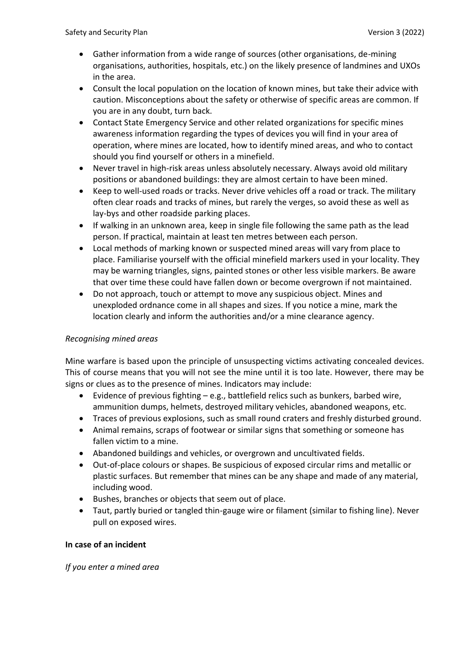- Gather information from a wide range of sources (other organisations, de-mining organisations, authorities, hospitals, etc.) on the likely presence of landmines and UXOs in the area.
- Consult the local population on the location of known mines, but take their advice with caution. Misconceptions about the safety or otherwise of specific areas are common. If you are in any doubt, turn back.
- Contact State Emergency Service and other related organizations for specific mines awareness information regarding the types of devices you will find in your area of operation, where mines are located, how to identify mined areas, and who to contact should you find yourself or others in a minefield.
- Never travel in high-risk areas unless absolutely necessary. Always avoid old military positions or abandoned buildings: they are almost certain to have been mined.
- Keep to well-used roads or tracks. Never drive vehicles off a road or track. The military often clear roads and tracks of mines, but rarely the verges, so avoid these as well as lay-bys and other roadside parking places.
- If walking in an unknown area, keep in single file following the same path as the lead person. If practical, maintain at least ten metres between each person.
- Local methods of marking known or suspected mined areas will vary from place to place. Familiarise yourself with the official minefield markers used in your locality. They may be warning triangles, signs, painted stones or other less visible markers. Be aware that over time these could have fallen down or become overgrown if not maintained.
- Do not approach, touch or attempt to move any suspicious object. Mines and unexploded ordnance come in all shapes and sizes. If you notice a mine, mark the location clearly and inform the authorities and/or a mine clearance agency.

# *Recognising mined areas*

Mine warfare is based upon the principle of unsuspecting victims activating concealed devices. This of course means that you will not see the mine until it is too late. However, there may be signs or clues as to the presence of mines. Indicators may include:

- Evidence of previous fighting e.g., battlefield relics such as bunkers, barbed wire, ammunition dumps, helmets, destroyed military vehicles, abandoned weapons, etc.
- Traces of previous explosions, such as small round craters and freshly disturbed ground.
- Animal remains, scraps of footwear or similar signs that something or someone has fallen victim to a mine.
- Abandoned buildings and vehicles, or overgrown and uncultivated fields.
- Out-of-place colours or shapes. Be suspicious of exposed circular rims and metallic or plastic surfaces. But remember that mines can be any shape and made of any material, including wood.
- Bushes, branches or objects that seem out of place.
- Taut, partly buried or tangled thin-gauge wire or filament (similar to fishing line). Never pull on exposed wires.

#### **In case of an incident**

*If you enter a mined area*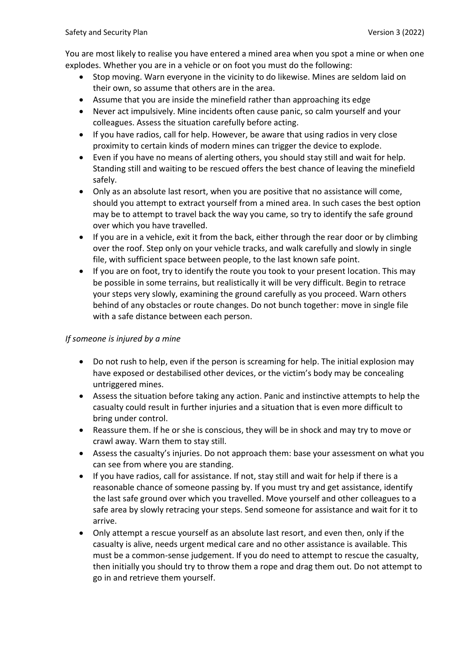You are most likely to realise you have entered a mined area when you spot a mine or when one explodes. Whether you are in a vehicle or on foot you must do the following:

- Stop moving. Warn everyone in the vicinity to do likewise. Mines are seldom laid on their own, so assume that others are in the area.
- Assume that you are inside the minefield rather than approaching its edge
- Never act impulsively. Mine incidents often cause panic, so calm yourself and your colleagues. Assess the situation carefully before acting.
- If you have radios, call for help. However, be aware that using radios in very close proximity to certain kinds of modern mines can trigger the device to explode.
- Even if you have no means of alerting others, you should stay still and wait for help. Standing still and waiting to be rescued offers the best chance of leaving the minefield safely.
- Only as an absolute last resort, when you are positive that no assistance will come, should you attempt to extract yourself from a mined area. In such cases the best option may be to attempt to travel back the way you came, so try to identify the safe ground over which you have travelled.
- If you are in a vehicle, exit it from the back, either through the rear door or by climbing over the roof. Step only on your vehicle tracks, and walk carefully and slowly in single file, with sufficient space between people, to the last known safe point.
- If you are on foot, try to identify the route you took to your present location. This may be possible in some terrains, but realistically it will be very difficult. Begin to retrace your steps very slowly, examining the ground carefully as you proceed. Warn others behind of any obstacles or route changes. Do not bunch together: move in single file with a safe distance between each person.

#### *If someone is injured by a mine*

- Do not rush to help, even if the person is screaming for help. The initial explosion may have exposed or destabilised other devices, or the victim's body may be concealing untriggered mines.
- Assess the situation before taking any action. Panic and instinctive attempts to help the casualty could result in further injuries and a situation that is even more difficult to bring under control.
- Reassure them. If he or she is conscious, they will be in shock and may try to move or crawl away. Warn them to stay still.
- Assess the casualty's injuries. Do not approach them: base your assessment on what you can see from where you are standing.
- If you have radios, call for assistance. If not, stay still and wait for help if there is a reasonable chance of someone passing by. If you must try and get assistance, identify the last safe ground over which you travelled. Move yourself and other colleagues to a safe area by slowly retracing your steps. Send someone for assistance and wait for it to arrive.
- Only attempt a rescue yourself as an absolute last resort, and even then, only if the casualty is alive, needs urgent medical care and no other assistance is available. This must be a common-sense judgement. If you do need to attempt to rescue the casualty, then initially you should try to throw them a rope and drag them out. Do not attempt to go in and retrieve them yourself.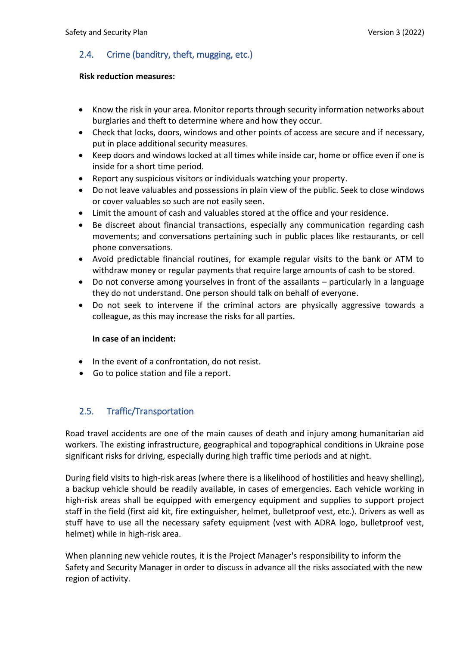# <span id="page-9-0"></span>2.4. Crime (banditry, theft, mugging, etc.)

#### **Risk reduction measures:**

- Know the risk in your area. Monitor reports through security information networks about burglaries and theft to determine where and how they occur.
- Check that locks, doors, windows and other points of access are secure and if necessary, put in place additional security measures.
- Keep doors and windows locked at all times while inside car, home or office even if one is inside for a short time period.
- Report any suspicious visitors or individuals watching your property.
- Do not leave valuables and possessions in plain view of the public. Seek to close windows or cover valuables so such are not easily seen.
- Limit the amount of cash and valuables stored at the office and your residence.
- Be discreet about financial transactions, especially any communication regarding cash movements; and conversations pertaining such in public places like restaurants, or cell phone conversations.
- Avoid predictable financial routines, for example regular visits to the bank or ATM to withdraw money or regular payments that require large amounts of cash to be stored.
- Do not converse among yourselves in front of the assailants particularly in a language they do not understand. One person should talk on behalf of everyone.
- Do not seek to intervene if the criminal actors are physically aggressive towards a colleague, as this may increase the risks for all parties.

#### **In case of an incident:**

- In the event of a confrontation, do not resist.
- Go to police station and file a report.

# <span id="page-9-1"></span>2.5. Traffic/Transportation

Road travel accidents are one of the main causes of death and injury among humanitarian aid workers. The existing infrastructure, geographical and topographical conditions in Ukraine pose significant risks for driving, especially during high traffic time periods and at night.

During field visits to high-risk areas (where there is a likelihood of hostilities and heavy shelling), a backup vehicle should be readily available, in cases of emergencies. Each vehicle working in high-risk areas shall be equipped with emergency equipment and supplies to support project staff in the field (first aid kit, fire extinguisher, helmet, bulletproof vest, etc.). Drivers as well as stuff have to use all the necessary safety equipment (vest with ADRA logo, bulletproof vest, helmet) while in high-risk area.

When planning new vehicle routes, it is the Project Manager's responsibility to inform the Safety and Security Manager in order to discuss in advance all the risks associated with the new region of activity.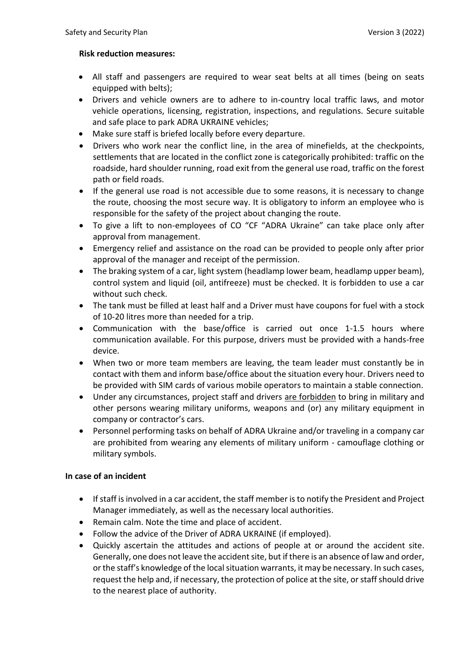#### **Risk reduction measures:**

- All staff and passengers are required to wear seat belts at all times (being on seats equipped with belts);
- Drivers and vehicle owners are to adhere to in-country local traffic laws, and motor vehicle operations, licensing, registration, inspections, and regulations. Secure suitable and safe place to park ADRA UKRAINE vehicles;
- Make sure staff is briefed locally before every departure.
- Drivers who work near the conflict line, in the area of minefields, at the checkpoints, settlements that are located in the conflict zone is categorically prohibited: traffic on the roadside, hard shoulder running, road exit from the general use road, traffic on the forest path or field roads.
- If the general use road is not accessible due to some reasons, it is necessary to change the route, choosing the most secure way. It is obligatory to inform an employee who is responsible for the safety of the project about changing the route.
- To give a lift to non-employees of CO "CF "ADRA Ukraine" can take place only after approval from management.
- Emergency relief and assistance on the road can be provided to people only after prior approval of the manager and receipt of the permission.
- The braking system of a car, light system (headlamp lower beam, headlamp upper beam), control system and liquid (oil, antifreeze) must be checked. It is forbidden to use a car without such check.
- The tank must be filled at least half and a Driver must have coupons for fuel with a stock of 10-20 litres more than needed for a trip.
- Communication with the base/office is carried out once 1-1.5 hours where communication available. For this purpose, drivers must be provided with a hands-free device.
- When two or more team members are leaving, the team leader must constantly be in contact with them and inform base/office about the situation every hour. Drivers need to be provided with SIM cards of various mobile operators to maintain a stable connection.
- Under any circumstances, project staff and drivers are forbidden to bring in military and other persons wearing military uniforms, weapons and (or) any military equipment in company or contractor's cars.
- Personnel performing tasks on behalf of ADRA Ukraine and/or traveling in a company car are prohibited from wearing any elements of military uniform - camouflage clothing or military symbols.

#### **In case of an incident**

- If staff is involved in a car accident, the staff member is to notify the President and Project Manager immediately, as well as the necessary local authorities.
- Remain calm. Note the time and place of accident.
- Follow the advice of the Driver of ADRA UKRAINE (if employed).
- Quickly ascertain the attitudes and actions of people at or around the accident site. Generally, one does not leave the accident site, but if there is an absence of law and order, or the staff's knowledge of the local situation warrants, it may be necessary. In such cases, request the help and, if necessary, the protection of police at the site, or staff should drive to the nearest place of authority.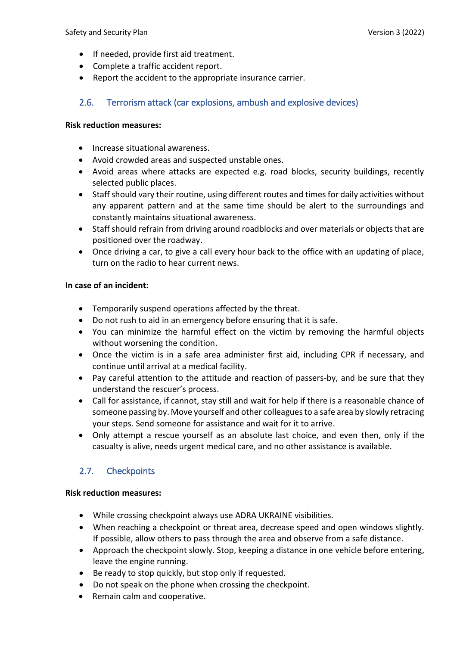- If needed, provide first aid treatment.
- Complete a traffic accident report.
- Report the accident to the appropriate insurance carrier.

# <span id="page-11-0"></span>2.6. Terrorism attack (car explosions, ambush and explosive devices)

#### **Risk reduction measures:**

- Increase situational awareness.
- Avoid crowded areas and suspected unstable ones.
- Avoid areas where attacks are expected e.g. road blocks, security buildings, recently selected public places.
- Staff should vary their routine, using different routes and times for daily activities without any apparent pattern and at the same time should be alert to the surroundings and constantly maintains situational awareness.
- Staff should refrain from driving around roadblocks and over materials or objects that are positioned over the roadway.
- Once driving a car, to give a call every hour back to the office with an updating of place, turn on the radio to hear current news.

#### **In case of an incident:**

- Temporarily suspend operations affected by the threat.
- Do not rush to aid in an emergency before ensuring that it is safe.
- You can minimize the harmful effect on the victim by removing the harmful objects without worsening the condition.
- Once the victim is in a safe area administer first aid, including CPR if necessary, and continue until arrival at a medical facility.
- Pay careful attention to the attitude and reaction of passers-by, and be sure that they understand the rescuer's process.
- Call for assistance, if cannot, stay still and wait for help if there is a reasonable chance of someone passing by. Move yourself and other colleagues to a safe area by slowly retracing your steps. Send someone for assistance and wait for it to arrive.
- Only attempt a rescue yourself as an absolute last choice, and even then, only if the casualty is alive, needs urgent medical care, and no other assistance is available.

# <span id="page-11-1"></span>2.7. Checkpoints

#### **Risk reduction measures:**

- While crossing checkpoint always use ADRA UKRAINE visibilities.
- When reaching a checkpoint or threat area, decrease speed and open windows slightly. If possible, allow others to pass through the area and observe from a safe distance.
- Approach the checkpoint slowly. Stop, keeping a distance in one vehicle before entering, leave the engine running.
- Be ready to stop quickly, but stop only if requested.
- Do not speak on the phone when crossing the checkpoint.
- Remain calm and cooperative.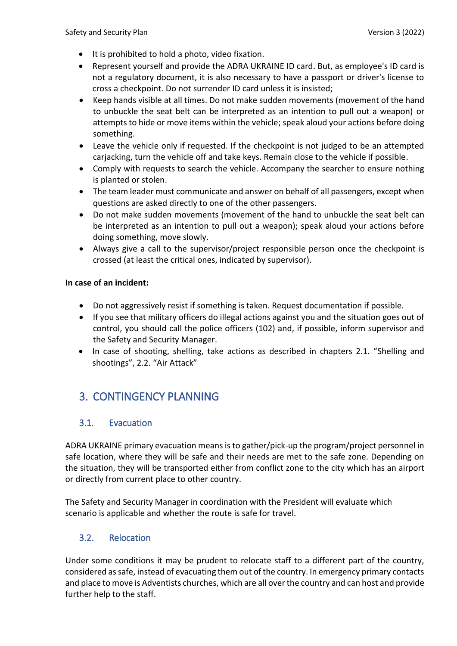- It is prohibited to hold a photo, video fixation.
- Represent yourself and provide the ADRA UKRAINE ID card. But, as employee's ID card is not a regulatory document, it is also necessary to have a passport or driver's license to cross a checkpoint. Do not surrender ID card unless it is insisted;
- Keep hands visible at all times. Do not make sudden movements (movement of the hand to unbuckle the seat belt can be interpreted as an intention to pull out a weapon) or attempts to hide or move items within the vehicle; speak aloud your actions before doing something.
- Leave the vehicle only if requested. If the checkpoint is not judged to be an attempted carjacking, turn the vehicle off and take keys. Remain close to the vehicle if possible.
- Comply with requests to search the vehicle. Accompany the searcher to ensure nothing is planted or stolen.
- The team leader must communicate and answer on behalf of all passengers, except when questions are asked directly to one of the other passengers.
- Do not make sudden movements (movement of the hand to unbuckle the seat belt can be interpreted as an intention to pull out a weapon); speak aloud your actions before doing something, move slowly.
- Always give a call to the supervisor/project responsible person once the checkpoint is crossed (at least the critical ones, indicated by supervisor).

#### **In case of an incident:**

- Do not aggressively resist if something is taken. Request documentation if possible.
- If you see that military officers do illegal actions against you and the situation goes out of control, you should call the police officers (102) and, if possible, inform supervisor and the Safety and Security Manager.
- In case of shooting, shelling, take actions as described in chapters 2.1. "Shelling and shootings", 2.2. "Air Attack"

# <span id="page-12-0"></span>3. CONTINGENCY PLANNING

# <span id="page-12-1"></span>3.1. Evacuation

ADRA UKRAINE primary evacuation means is to gather/pick-up the program/project personnel in safe location, where they will be safe and their needs are met to the safe zone. Depending on the situation, they will be transported either from conflict zone to the city which has an airport or directly from current place to other country.

The Safety and Security Manager in coordination with the President will evaluate which scenario is applicable and whether the route is safe for travel.

# <span id="page-12-2"></span>3.2. Relocation

Under some conditions it may be prudent to relocate staff to a different part of the country, considered as safe, instead of evacuating them out of the country. In emergency primary contacts and place to move is Adventists churches, which are all over the country and can host and provide further help to the staff.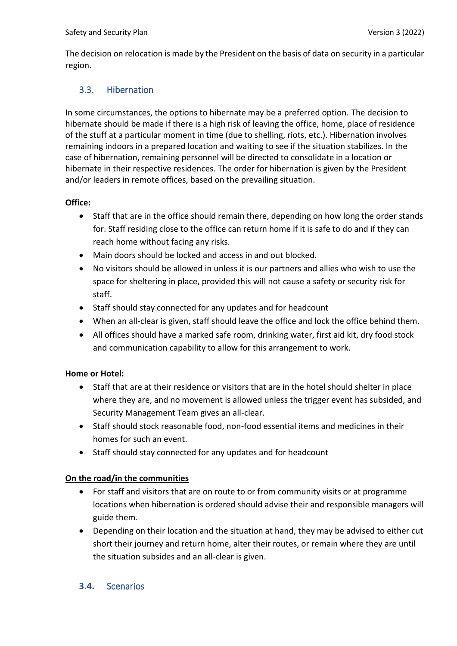The decision on relocation is made by the President on the basis of data on security in a particular region.

# <span id="page-13-0"></span>3.3. Hibernation

In some circumstances, the options to hibernate may be a preferred option. The decision to hibernate should be made if there is a high risk of leaving the office, home, place of residence of the stuff at a particular moment in time (due to shelling, riots, etc.). Hibernation involves remaining indoors in a prepared location and waiting to see if the situation stabilizes. In the case of hibernation, remaining personnel will be directed to consolidate in a location or hibernate in their respective residences. The order for hibernation is given by the President and/or leaders in remote offices, based on the prevailing situation.

#### **Office:**

- Staff that are in the office should remain there, depending on how long the order stands for. Staff residing close to the office can return home if it is safe to do and if they can reach home without facing any risks.
- Main doors should be locked and access in and out blocked.
- No visitors should be allowed in unless it is our partners and allies who wish to use the space for sheltering in place, provided this will not cause a safety or security risk for staff.
- Staff should stay connected for any updates and for headcount
- When an all-clear is given, staff should leave the office and lock the office behind them.
- All offices should have a marked safe room, drinking water, first aid kit, dry food stock and communication capability to allow for this arrangement to work.

# **Home or Hotel:**

- Staff that are at their residence or visitors that are in the hotel should shelter in place where they are, and no movement is allowed unless the trigger event has subsided, and Security Management Team gives an all-clear.
- Staff should stock reasonable food, non-food essential items and medicines in their homes for such an event.
- Staff should stay connected for any updates and for headcount

# **On the road/in the communities**

- For staff and visitors that are on route to or from community visits or at programme locations when hibernation is ordered should advise their and responsible managers will guide them.
- Depending on their location and the situation at hand, they may be advised to either cut short their journey and return home, alter their routes, or remain where they are until the situation subsides and an all-clear is given.

# <span id="page-13-1"></span>**3.4.** Scenarios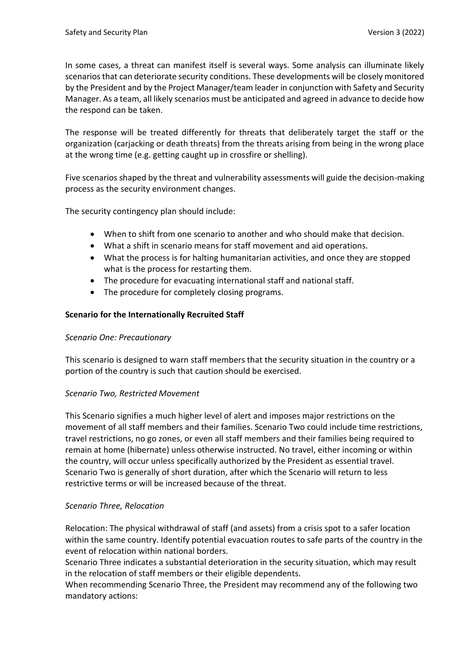In some cases, a threat can manifest itself is several ways. Some analysis can illuminate likely scenarios that can deteriorate security conditions. These developments will be closely monitored by the President and by the Project Manager/team leader in conjunction with Safety and Security Manager. As a team, all likely scenarios must be anticipated and agreed in advance to decide how the respond can be taken.

The response will be treated differently for threats that deliberately target the staff or the organization (carjacking or death threats) from the threats arising from being in the wrong place at the wrong time (e.g. getting caught up in crossfire or shelling).

Five scenarios shaped by the threat and vulnerability assessments will guide the decision-making process as the security environment changes.

The security contingency plan should include:

- When to shift from one scenario to another and who should make that decision.
- What a shift in scenario means for staff movement and aid operations.
- What the process is for halting humanitarian activities, and once they are stopped what is the process for restarting them.
- The procedure for evacuating international staff and national staff.
- The procedure for completely closing programs.

#### **Scenario for the Internationally Recruited Staff**

#### *Scenario One: Precautionary*

This scenario is designed to warn staff members that the security situation in the country or a portion of the country is such that caution should be exercised.

#### *Scenario Two, Restricted Movement*

This Scenario signifies a much higher level of alert and imposes major restrictions on the movement of all staff members and their families. Scenario Two could include time restrictions, travel restrictions, no go zones, or even all staff members and their families being required to remain at home (hibernate) unless otherwise instructed. No travel, either incoming or within the country, will occur unless specifically authorized by the President as essential travel. Scenario Two is generally of short duration, after which the Scenario will return to less restrictive terms or will be increased because of the threat.

#### *Scenario Three, Relocation*

Relocation: The physical withdrawal of staff (and assets) from a crisis spot to a safer location within the same country. Identify potential evacuation routes to safe parts of the country in the event of relocation within national borders.

Scenario Three indicates a substantial deterioration in the security situation, which may result in the relocation of staff members or their eligible dependents.

When recommending Scenario Three, the President may recommend any of the following two mandatory actions: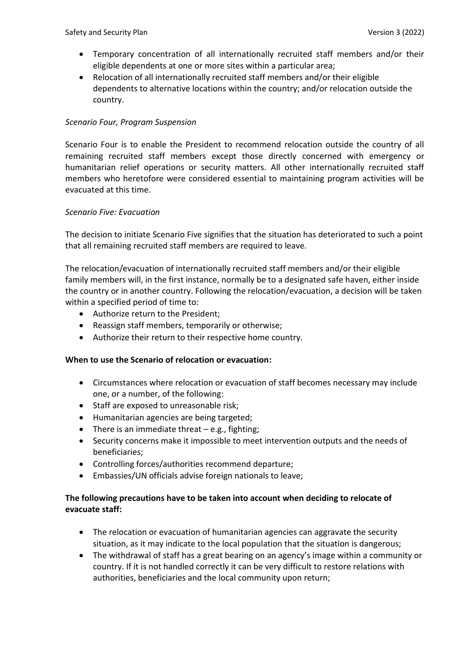- Temporary concentration of all internationally recruited staff members and/or their eligible dependents at one or more sites within a particular area;
- Relocation of all internationally recruited staff members and/or their eligible dependents to alternative locations within the country; and/or relocation outside the country.

#### *Scenario Four, Program Suspension*

Scenario Four is to enable the President to recommend relocation outside the country of all remaining recruited staff members except those directly concerned with emergency or humanitarian relief operations or security matters. All other internationally recruited staff members who heretofore were considered essential to maintaining program activities will be evacuated at this time.

#### *Scenario Five: Evacuation*

The decision to initiate Scenario Five signifies that the situation has deteriorated to such a point that all remaining recruited staff members are required to leave.

The relocation/evacuation of internationally recruited staff members and/or their eligible family members will, in the first instance, normally be to a designated safe haven, either inside the country or in another country. Following the relocation/evacuation, a decision will be taken within a specified period of time to:

- Authorize return to the President;
- Reassign staff members, temporarily or otherwise;
- Authorize their return to their respective home country.

#### **When to use the Scenario of relocation or evacuation:**

- Circumstances where relocation or evacuation of staff becomes necessary may include one, or a number, of the following:
- Staff are exposed to unreasonable risk;
- Humanitarian agencies are being targeted;
- There is an immediate threat  $-e.g.,$  fighting;
- Security concerns make it impossible to meet intervention outputs and the needs of beneficiaries;
- Controlling forces/authorities recommend departure;
- Embassies/UN officials advise foreign nationals to leave;

#### **The following precautions have to be taken into account when deciding to relocate of evacuate staff:**

- The relocation or evacuation of humanitarian agencies can aggravate the security situation, as it may indicate to the local population that the situation is dangerous;
- The withdrawal of staff has a great bearing on an agency's image within a community or country. If it is not handled correctly it can be very difficult to restore relations with authorities, beneficiaries and the local community upon return;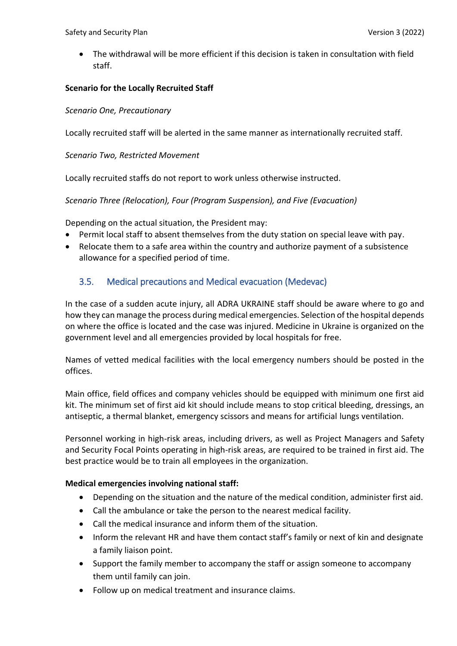• The withdrawal will be more efficient if this decision is taken in consultation with field staff.

#### **Scenario for the Locally Recruited Staff**

#### *Scenario One, Precautionary*

Locally recruited staff will be alerted in the same manner as internationally recruited staff.

#### *Scenario Two, Restricted Movement*

Locally recruited staffs do not report to work unless otherwise instructed.

#### *Scenario Three (Relocation), Four (Program Suspension), and Five (Evacuation)*

Depending on the actual situation, the President may:

- Permit local staff to absent themselves from the duty station on special leave with pay.
- Relocate them to a safe area within the country and authorize payment of a subsistence allowance for a specified period of time.

# <span id="page-16-0"></span>3.5. Medical precautions and Medical evacuation (Medevac)

In the case of a sudden acute injury, all ADRA UKRAINE staff should be aware where to go and how they can manage the process during medical emergencies. Selection of the hospital depends on where the office is located and the case was injured. Medicine in Ukraine is organized on the government level and all emergencies provided by local hospitals for free.

Names of vetted medical facilities with the local emergency numbers should be posted in the offices.

Main office, field offices and company vehicles should be equipped with minimum one first aid kit. The minimum set of first aid kit should include means to stop critical bleeding, dressings, an antiseptic, a thermal blanket, emergency scissors and means for artificial lungs ventilation.

Personnel working in high-risk areas, including drivers, as well as Project Managers and Safety and Security Focal Points operating in high-risk areas, are required to be trained in first aid. The best practice would be to train all employees in the organization.

#### **Medical emergencies involving national staff:**

- Depending on the situation and the nature of the medical condition, administer first aid.
- Call the ambulance or take the person to the nearest medical facility.
- Call the medical insurance and inform them of the situation.
- Inform the relevant HR and have them contact staff's family or next of kin and designate a family liaison point.
- Support the family member to accompany the staff or assign someone to accompany them until family can join.
- Follow up on medical treatment and insurance claims.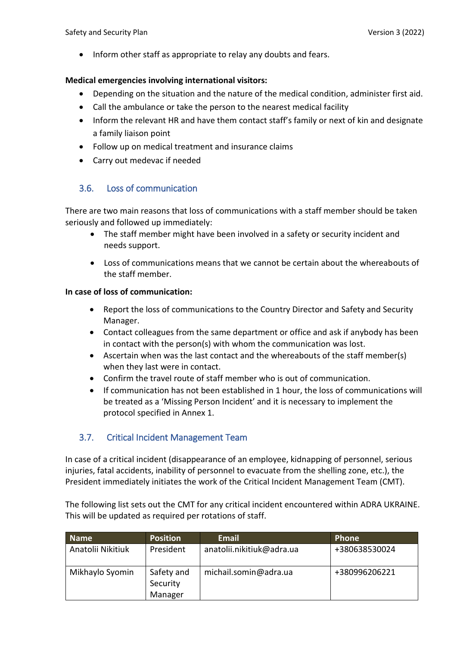• Inform other staff as appropriate to relay any doubts and fears.

#### **Medical emergencies involving international visitors:**

- Depending on the situation and the nature of the medical condition, administer first aid.
- Call the ambulance or take the person to the nearest medical facility
- Inform the relevant HR and have them contact staff's family or next of kin and designate a family liaison point
- Follow up on medical treatment and insurance claims
- Carry out medevac if needed

# <span id="page-17-0"></span>3.6. Loss of communication

There are two main reasons that loss of communications with a staff member should be taken seriously and followed up immediately:

- The staff member might have been involved in a safety or security incident and needs support.
- Loss of communications means that we cannot be certain about the whereabouts of the staff member.

#### **In case of loss of communication:**

- Report the loss of communications to the Country Director and Safety and Security Manager.
- Contact colleagues from the same department or office and ask if anybody has been in contact with the person(s) with whom the communication was lost.
- Ascertain when was the last contact and the whereabouts of the staff member(s) when they last were in contact.
- Confirm the travel route of staff member who is out of communication.
- If communication has not been established in 1 hour, the loss of communications will be treated as a 'Missing Person Incident' and it is necessary to implement the protocol specified in Annex 1.

# 3.7. Critical Incident Management Team

In case of a critical incident (disappearance of an employee, kidnapping of personnel, serious injuries, fatal accidents, inability of personnel to evacuate from the shelling zone, etc.), the President immediately initiates the work of the Critical Incident Management Team (CMT).

The following list sets out the CMT for any critical incident encountered within ADRA UKRAINE. This will be updated as required per rotations of staff.

| <b>Name</b>       | <b>Position</b>                   | Email                     | Phone         |
|-------------------|-----------------------------------|---------------------------|---------------|
| Anatolii Nikitiuk | President                         | anatolii.nikitiuk@adra.ua | +380638530024 |
| Mikhaylo Syomin   | Safety and<br>Security<br>Manager | michail.somin@adra.ua     | +380996206221 |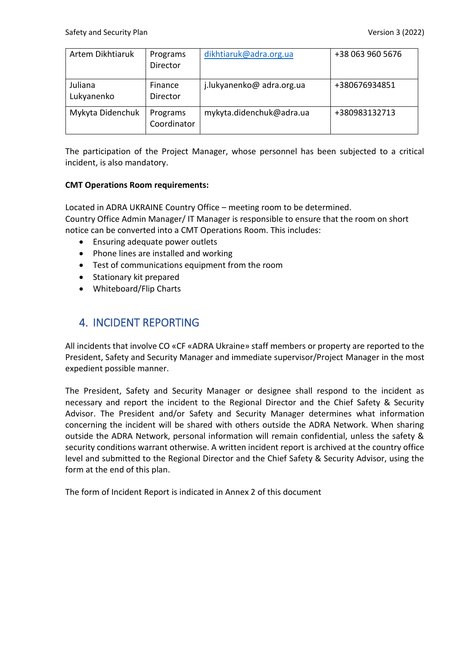| Artem Dikhtiaruk      | Programs<br>Director    | dikhtiaruk@adra.org.ua    | +38 063 960 5676 |
|-----------------------|-------------------------|---------------------------|------------------|
| Juliana<br>Lukyanenko | Finance<br>Director     | j.lukyanenko@ adra.org.ua | +380676934851    |
| Mykyta Didenchuk      | Programs<br>Coordinator | mykyta.didenchuk@adra.ua  | +380983132713    |

The participation of the Project Manager, whose personnel has been subjected to a critical incident, is also mandatory.

#### **CMT Operations Room requirements:**

Located in ADRA UKRAINE Country Office – meeting room to be determined. Country Office Admin Manager/ IT Manager is responsible to ensure that the room on short notice can be converted into a CMT Operations Room. This includes:

- Ensuring adequate power outlets
- Phone lines are installed and working
- Test of communications equipment from the room
- Stationary kit prepared
- Whiteboard/Flip Charts

# <span id="page-18-0"></span>4. INCIDENT REPORTING

All incidents that involve CO «CF «ADRA Ukraine» staff members or property are reported to the President, Safety and Security Manager and immediate supervisor/Project Manager in the most expedient possible manner.

The President, Safety and Security Manager or designee shall respond to the incident as necessary and report the incident to the Regional Director and the Chief Safety & Security Advisor. The President and/or Safety and Security Manager determines what information concerning the incident will be shared with others outside the ADRA Network. When sharing outside the ADRA Network, personal information will remain confidential, unless the safety & security conditions warrant otherwise. A written incident report is archived at the country office level and submitted to the Regional Director and the Chief Safety & Security Advisor, using the form at the end of this plan.

The form of Incident Report is indicated in Annex 2 of this document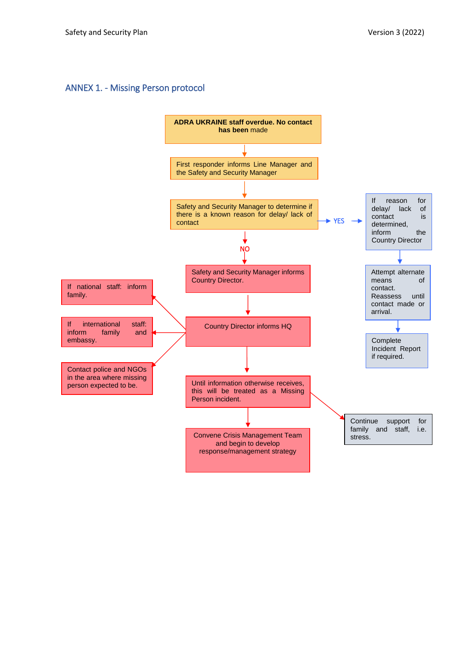### <span id="page-19-0"></span>ANNEX 1. - Missing Person protocol